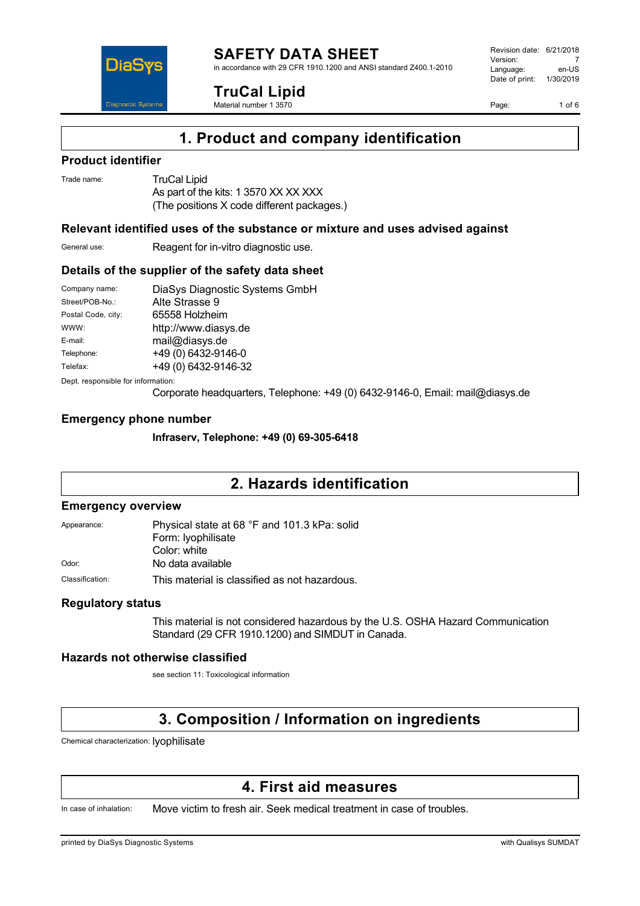

in accordance with 29 CFR 1910.1200 and ANSI standard Z400.1-2010

**TruCal Lipid**

Material number 1 3570

Revision date: 6/21/2018 Version: 7<br>Language: en-LIS Language: Date of print: 1/30/2019

Page: 1 of 6

# **1. Product and company identification**

### **Product identifier**

DiaS

**Diagnostic Systen** 

Trade name: TruCal Lipid As part of the kits: 1 3570 XX XX XXX (The positions X code different packages.)

### **Relevant identified uses of the substance or mixture and uses advised against**

General use: Reagent for in-vitro diagnostic use.

### **Details of the supplier of the safety data sheet**

| Company name:      | DiaSys Diagnostic Systems GmbH |
|--------------------|--------------------------------|
| Street/POB-No.:    | Alte Strasse 9                 |
| Postal Code, city: | 65558 Holzheim                 |
| WWW:               | http://www.diasys.de           |
| E-mail:            | mail@diasys.de                 |
| Telephone:         | +49 (0) 6432-9146-0            |
| Telefax:           | +49 (0) 6432-9146-32           |
|                    |                                |

Dept. responsible for information:

Corporate headquarters, Telephone: +49 (0) 6432-9146-0, Email: mail@diasys.de

### **Emergency phone number**

**Infraserv, Telephone: +49 (0) 69-305-6418**

# **2. Hazards identification**

#### **Emergency overview**

| Appearance:     | Physical state at 68 °F and 101.3 kPa: solid  |
|-----------------|-----------------------------------------------|
|                 | Form: lyophilisate                            |
|                 | Color: white                                  |
| Odor:           | No data available                             |
| Classification: | This material is classified as not hazardous. |

#### **Regulatory status**

This material is not considered hazardous by the U.S. OSHA Hazard Communication Standard (29 CFR 1910.1200) and SIMDUT in Canada.

#### **Hazards not otherwise classified**

see section 11: Toxicological information

# **3. Composition / Information on ingredients**

Chemical characterization: lyophilisate

# **4. First aid measures**

In case of inhalation: Move victim to fresh air. Seek medical treatment in case of troubles.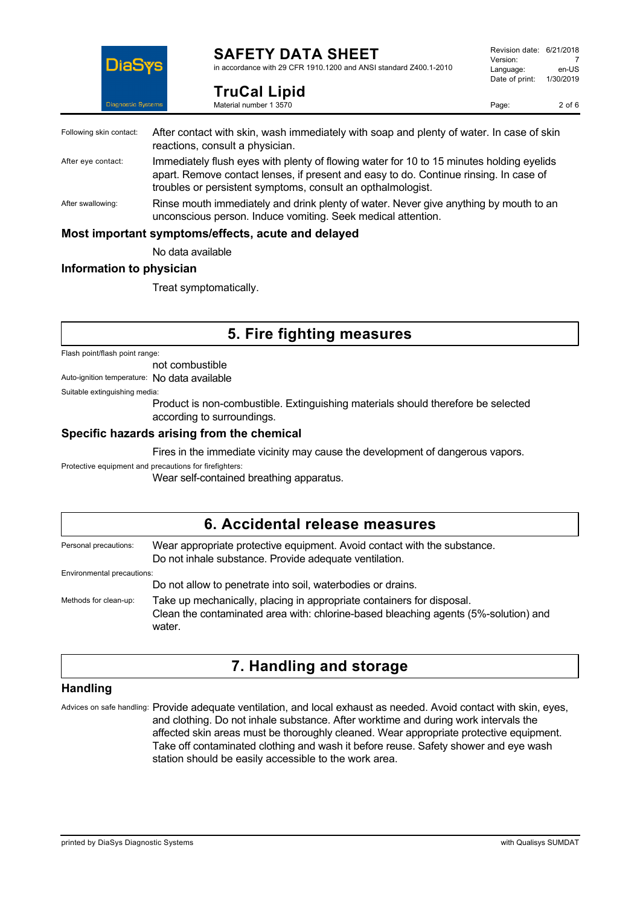

**TruCal Lipid** Material number 1 3570

in accordance with 29 CFR 1910.1200 and ANSI standard Z400.1-2010

Revision date: 6/21/2018 Version: 7<br>Language: en-LIS Language: Date of print: 1/30/2019

Page: 2 of 6

| Following skin contact: | After contact with skin, wash immediately with soap and plenty of water. In case of skin<br>reactions, consult a physician.                                                                                                                      |
|-------------------------|--------------------------------------------------------------------------------------------------------------------------------------------------------------------------------------------------------------------------------------------------|
| After eye contact:      | Immediately flush eyes with plenty of flowing water for 10 to 15 minutes holding eyelids<br>apart. Remove contact lenses, if present and easy to do. Continue rinsing. In case of<br>troubles or persistent symptoms, consult an opthalmologist. |
| After swallowing:       | Rinse mouth immediately and drink plenty of water. Never give anything by mouth to an<br>unconscious person. Induce vomiting. Seek medical attention.                                                                                            |
|                         | Most important symptoms/effects, acute and delayed                                                                                                                                                                                               |
|                         | Allended and annual states                                                                                                                                                                                                                       |

No data available

### **Information to physician**

Treat symptomatically.

# **5. Fire fighting measures**

Flash point/flash point range:

not combustible

Auto-ignition temperature: No data available

Suitable extinguishing media:

Product is non-combustible. Extinguishing materials should therefore be selected according to surroundings.

### **Specific hazards arising from the chemical**

Fires in the immediate vicinity may cause the development of dangerous vapors.

Protective equipment and precautions for firefighters:

Wear self-contained breathing apparatus.

### **6. Accidental release measures** Personal precautions: Wear appropriate protective equipment. Avoid contact with the substance. Do not inhale substance. Provide adequate ventilation. Environmental precautions: Do not allow to penetrate into soil, waterbodies or drains. Methods for clean-up: Take up mechanically, placing in appropriate containers for disposal. Clean the contaminated area with: chlorine-based bleaching agents (5%-solution) and water.

# **7. Handling and storage**

### **Handling**

Advices on safe handling: Provide adequate ventilation, and local exhaust as needed. Avoid contact with skin, eyes, and clothing. Do not inhale substance. After worktime and during work intervals the affected skin areas must be thoroughly cleaned. Wear appropriate protective equipment. Take off contaminated clothing and wash it before reuse. Safety shower and eye wash station should be easily accessible to the work area.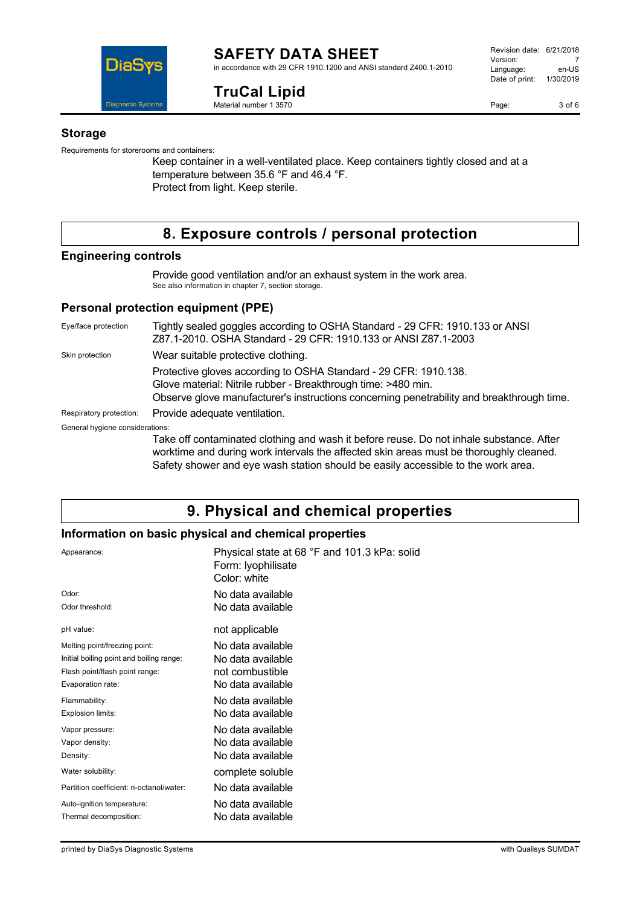

#### **SAFETY DATA SHEET** in accordance with 29 CFR 1910.1200 and ANSI standard Z400.1-2010

**TruCal Lipid**

Material number 1 3570

Page: 3 of 6

### **Storage**

Requirements for storerooms and containers:

Keep container in a well-ventilated place. Keep containers tightly closed and at a temperature between 35.6 °F and 46.4 °F. Protect from light. Keep sterile.

# **8. Exposure controls / personal protection**

### **Engineering controls**

Provide good ventilation and/or an exhaust system in the work area. See also information in chapter 7, section storage.

### **Personal protection equipment (PPE)**

Eye/face protection Tightly sealed goggles according to OSHA Standard - 29 CFR: 1910.133 or ANSI Z87.1-2010. OSHA Standard - 29 CFR: 1910.133 or ANSI Z87.1-2003 Skin protection **Wear suitable protective clothing.** Protective gloves according to OSHA Standard - 29 CFR: 1910.138. Glove material: Nitrile rubber - Breakthrough time: >480 min. Observe glove manufacturer's instructions concerning penetrability and breakthrough time. Respiratory protection: Provide adequate ventilation. General hygiene considerations: Take off contaminated clothing and wash it before reuse. Do not inhale substance. After worktime and during work intervals the affected skin areas must be thoroughly cleaned.

# Safety shower and eye wash station should be easily accessible to the work area.

# **9. Physical and chemical properties**

### **Information on basic physical and chemical properties**

| Appearance:                              | Physical state at 68 °F and 101.3 kPa: solid<br>Form: Iyophilisate<br>Color: white |
|------------------------------------------|------------------------------------------------------------------------------------|
| Odor:                                    | No data available                                                                  |
| Odor threshold:                          | No data available                                                                  |
| pH value:                                | not applicable                                                                     |
| Melting point/freezing point:            | No data available                                                                  |
| Initial boiling point and boiling range: | No data available                                                                  |
| Flash point/flash point range:           | not combustible                                                                    |
| Evaporation rate:                        | No data available                                                                  |
| Flammability:                            | No data available                                                                  |
| Explosion limits:                        | No data available                                                                  |
| Vapor pressure:                          | No data available                                                                  |
| Vapor density:                           | No data available                                                                  |
| Density:                                 | No data available                                                                  |
| Water solubility:                        | complete soluble                                                                   |
| Partition coefficient: n-octanol/water:  | No data available                                                                  |
| Auto-ignition temperature:               | No data available                                                                  |
| Thermal decomposition:                   | No data available                                                                  |
|                                          |                                                                                    |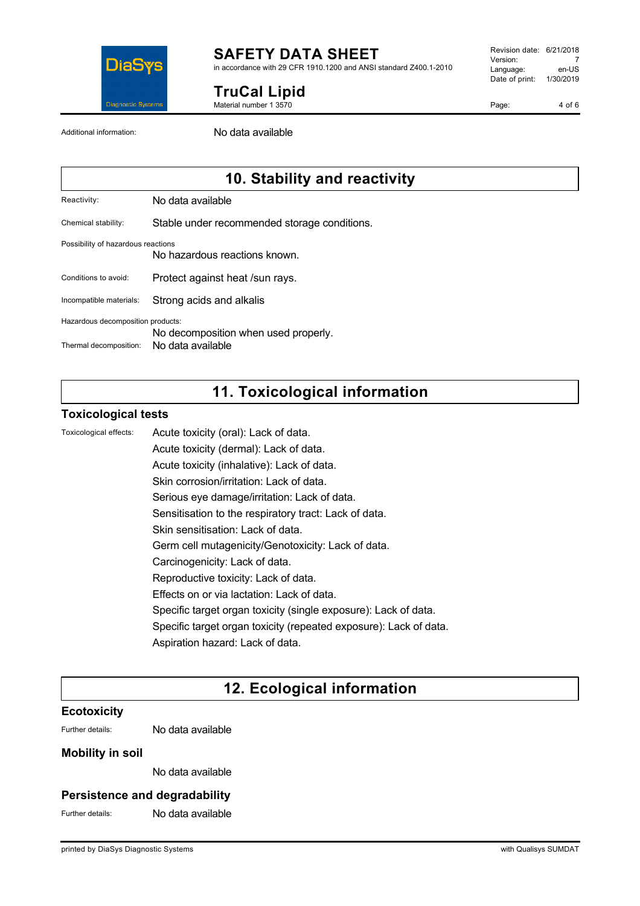

in accordance with 29 CFR 1910.1200 and ANSI standard Z400.1-2010

**TruCal Lipid**

Material number 1 3570

Revision date: 6/21/2018 Version: 7<br>Language: en-LIS Language: Date of print: 1/30/2019

Page: 4 of 6

Additional information: No data available

# **10. Stability and reactivity**

Reactivity: No data available

Chemical stability: Stable under recommended storage conditions.

#### Possibility of hazardous reactions

No hazardous reactions known.

Conditions to avoid: Protect against heat /sun rays.

Incompatible materials: Strong acids and alkalis

Hazardous decomposition products:

No decomposition when used properly.

Thermal decomposition: No data available

# **11. Toxicological information**

### **Toxicological tests**

Toxicological effects: Acute toxicity (oral): Lack of data.

Acute toxicity (dermal): Lack of data.

Acute toxicity (inhalative): Lack of data.

Skin corrosion/irritation: Lack of data.

Serious eye damage/irritation: Lack of data.

Sensitisation to the respiratory tract: Lack of data.

Skin sensitisation: Lack of data.

Germ cell mutagenicity/Genotoxicity: Lack of data.

- Carcinogenicity: Lack of data.
- Reproductive toxicity: Lack of data.
- Effects on or via lactation: Lack of data.
- Specific target organ toxicity (single exposure): Lack of data.
- Specific target organ toxicity (repeated exposure): Lack of data.

Aspiration hazard: Lack of data.

# **12. Ecological information**

### **Ecotoxicity**

Further details: No data available

### **Mobility in soil**

No data available

### **Persistence and degradability**

Further details: No data available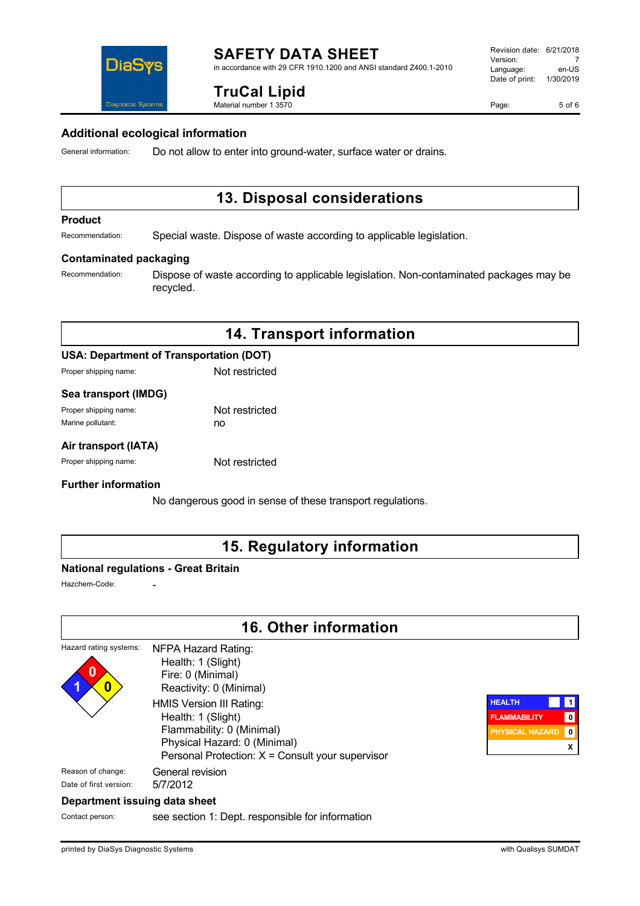in accordance with 29 CFR 1910.1200 and ANSI standard Z400.1-2010

**TruCal Lipid** Material number 1 3570



#### **Additional ecological information**

General information: Do not allow to enter into ground-water, surface water or drains.

# **13. Disposal considerations**

#### **Product**

Recommendation: Special waste. Dispose of waste according to applicable legislation.

#### **Contaminated packaging**

Recommendation: Dispose of waste according to applicable legislation. Non-contaminated packages may be recycled.

# **14. Transport information**

### **USA: Department of Transportation (DOT)**

Proper shipping name: Not restricted

#### **Sea transport (IMDG)**

| Proper shipping name: | Not restricted |
|-----------------------|----------------|
| Marine pollutant:     | no             |

### **Air transport (IATA)**

Proper shipping name: Not restricted

#### **Further information**

No dangerous good in sense of these transport regulations.

# **15. Regulatory information**

#### **National regulations - Great Britain**

Hazchem-Code:

# **16. Other information**

#### Hazard rating systems: **0 1 0** NFPA Hazard Rating: Health: 1 (Slight) Fire: 0 (Minimal) Reactivity: 0 (Minimal) HMIS Version III Rating: Health: 1 (Slight) Flammability: 0 (Minimal) Physical Hazard: 0 (Minimal) Personal Protection: X = Consult your supervisor Reason of change: General revision Date of first version: 5/7/2012

### **HEALTH 1 FLAMMABILITY 0 PHYSICAL HAZARD 0 X**

### **Department issuing data sheet**

Contact person: see section 1: Dept. responsible for information